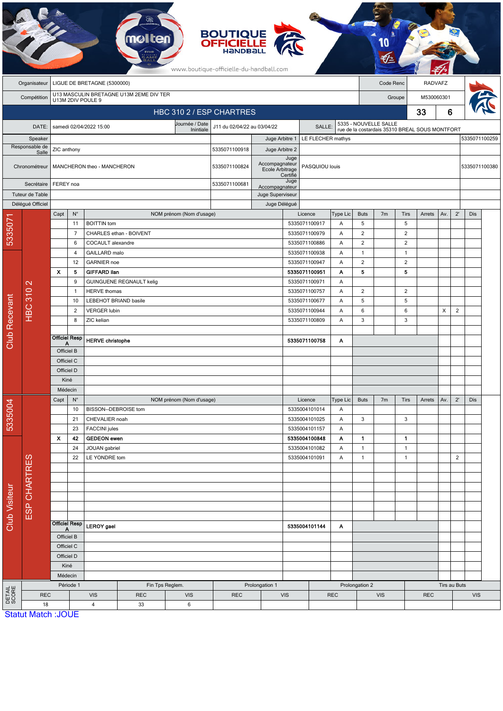|                        | <b>BOUTIQUE<br/>OFFICIELLE</b><br>www.boutique-officielle-du-handball.com |                                                              |                      |                                              |                         |                                       |                                 |                                   |                    |                                |               |                       |                                                |                |        |                |                |               |  |
|------------------------|---------------------------------------------------------------------------|--------------------------------------------------------------|----------------------|----------------------------------------------|-------------------------|---------------------------------------|---------------------------------|-----------------------------------|--------------------|--------------------------------|---------------|-----------------------|------------------------------------------------|----------------|--------|----------------|----------------|---------------|--|
|                        | Organisateur                                                              | LIGUE DE BRETAGNE (5300000)                                  |                      |                                              |                         |                                       |                                 |                                   |                    |                                |               | Code Renc             |                                                | RADVAFZ        |        |                |                |               |  |
|                        | Compétition                                                               | U13 MASCULIN BRETAGNE U13M 2EME DIV TER<br>U13M 2DIV POULE 9 |                      |                                              |                         |                                       |                                 |                                   |                    |                                |               |                       | M530060301<br>Groupe                           |                |        |                |                |               |  |
|                        |                                                                           |                                                              |                      | HBC 310 2 / ESP CHARTRES                     |                         |                                       |                                 |                                   |                    | 33<br>6                        |               |                       |                                                |                |        |                |                |               |  |
|                        | DATE:                                                                     |                                                              |                      | samedi 02/04/2022 15:00                      |                         | J11 du 02/04/22 au 03/04/22<br>SALLE: |                                 |                                   |                    |                                |               | 5335 - NOUVELLE SALLE |                                                |                |        |                |                |               |  |
| Speaker                |                                                                           | Inintiale                                                    |                      |                                              |                         |                                       |                                 | Juge Arbitre 1                    |                    | LE FLECHER mathys              |               |                       | rue de la costardais 35310 BREAL SOUS MONTFORT |                |        |                |                | 5335071100259 |  |
|                        | Responsable de<br>Salle                                                   | ZIC anthony                                                  |                      |                                              |                         |                                       | 5335071100918                   | Juge Arbitre 2                    |                    |                                |               |                       |                                                |                |        |                |                |               |  |
| Chronométreur          |                                                                           | MANCHERON theo - MANCHERON                                   |                      |                                              |                         |                                       | 5335071100824                   | Accompagnateur<br>Ecole Arbitrage | Juge               | PASQUIOU louis<br>Certifié     |               |                       |                                                |                |        |                |                | 5335071100380 |  |
|                        | Secrétaire                                                                |                                                              | FEREY noa            |                                              |                         |                                       | 5335071100681<br>Accompagnateur |                                   | Juge               |                                |               |                       |                                                |                |        |                |                |               |  |
|                        | Tuteur de Table                                                           |                                                              |                      |                                              |                         |                                       |                                 | Juge Superviseur                  |                    |                                |               |                       |                                                |                |        |                |                |               |  |
|                        | Délégué Officiel                                                          |                                                              |                      |                                              |                         |                                       |                                 | Juge Délégué                      |                    |                                |               |                       |                                                |                |        |                |                |               |  |
|                        |                                                                           | Capt                                                         | $N^{\circ}$<br>11    | <b>BOITTIN</b> tom                           |                         | NOM prénom (Nom d'usage)              |                                 |                                   |                    | Licence<br>5335071100917       | Type Lic<br>Α | <b>Buts</b><br>5      | 7 <sub>m</sub>                                 | Tirs<br>5      | Arrets | Av.            | $2^{\prime}$   | Dis           |  |
| 533507                 |                                                                           |                                                              | $\overline{7}$       |                                              | CHARLES ethan - BOIVENT |                                       |                                 |                                   |                    | 5335071100979                  | A             | $\overline{2}$        |                                                | $\overline{2}$ |        |                |                |               |  |
|                        |                                                                           |                                                              | 6                    | COCAULT alexandre                            |                         |                                       |                                 | 5335071100886<br>Α                |                    | $\overline{2}$                 |               | $\overline{2}$        |                                                |                |        |                |                |               |  |
|                        |                                                                           |                                                              | $\overline{4}$       | GAILLARD malo                                |                         |                                       |                                 |                                   |                    | 5335071100938                  |               | $\mathbf{1}$          |                                                | $\mathbf{1}$   |        |                |                |               |  |
|                        |                                                                           |                                                              | 12                   | <b>GARNIER</b> noe                           |                         |                                       |                                 | 5335071100947<br>Α                |                    | $\overline{2}$                 |               | $\overline{c}$        |                                                |                |        |                |                |               |  |
|                        |                                                                           | $\boldsymbol{\mathsf{x}}$                                    | 5                    | <b>GIFFARD ilan</b>                          |                         |                                       |                                 |                                   |                    | 5335071100951                  | Α             | 5                     |                                                | 5              |        |                |                |               |  |
|                        | $\mathbf{\Omega}$                                                         |                                                              | 9                    | GUINGUENE REGNAULT kelig                     |                         |                                       |                                 |                                   | 5335071100971      | Α                              |               |                       |                                                |                |        |                |                |               |  |
|                        | <b>HBC 310</b>                                                            |                                                              | $\mathbf{1}$         | <b>HERVE</b> thomas<br>LEBEHOT BRIAND basile |                         |                                       |                                 |                                   | 5335071100757<br>Α |                                |               | $\overline{2}$        |                                                | $\overline{c}$ |        |                |                |               |  |
|                        |                                                                           |                                                              | 10                   |                                              |                         |                                       |                                 |                                   |                    | 5335071100677<br>A             |               | 5                     |                                                | 5              |        |                |                |               |  |
|                        |                                                                           |                                                              |                      | $\overline{2}$<br><b>VERGER lubin</b>        |                         |                                       |                                 |                                   | 5335071100944      | Α                              | 6             |                       | 6                                              |                | X      | $\overline{2}$ |                |               |  |
|                        |                                                                           | 8<br>ZIC kelian                                              |                      |                                              |                         |                                       |                                 |                                   |                    | 5335071100809<br>A             |               | 3                     |                                                | 3              |        |                |                |               |  |
| <b>Club Recevant</b>   |                                                                           |                                                              | <b>Officiel Resp</b> | <b>HERVE christophe</b>                      |                         |                                       |                                 |                                   |                    | 5335071100758                  | Α             |                       |                                                |                |        |                |                |               |  |
|                        |                                                                           | А<br>Officiel B                                              |                      |                                              |                         |                                       |                                 |                                   |                    |                                |               |                       |                                                |                |        |                |                |               |  |
|                        |                                                                           | Officiel C                                                   |                      |                                              |                         |                                       |                                 |                                   |                    |                                |               |                       |                                                |                |        |                |                |               |  |
|                        |                                                                           | Officiel D                                                   |                      |                                              |                         |                                       |                                 |                                   |                    |                                |               |                       |                                                |                |        |                |                |               |  |
|                        |                                                                           | Kiné                                                         |                      |                                              |                         |                                       |                                 |                                   |                    |                                |               |                       |                                                |                |        |                |                |               |  |
|                        |                                                                           | Médecin                                                      |                      |                                              |                         |                                       |                                 |                                   |                    |                                |               |                       |                                                |                |        |                |                |               |  |
|                        |                                                                           | Capt                                                         | $\mathsf{N}^\circ$   |                                              |                         | NOM prénom (Nom d'usage)              |                                 |                                   |                    | Licence                        | Type Lic      | <b>Buts</b>           | 7 <sub>m</sub>                                 | <b>Tirs</b>    | Arrets | Av.            | $2^{\prime}$   | Dis           |  |
| 5335004                |                                                                           | 10                                                           |                      | BISSON--DEBROISE tom                         |                         |                                       |                                 |                                   |                    | 5335004101014                  | Α             |                       |                                                |                |        |                |                |               |  |
|                        |                                                                           |                                                              | 21                   | CHEVALIER noah                               |                         |                                       |                                 |                                   |                    | 5335004101025                  | Α             | 3                     |                                                | 3              |        |                |                |               |  |
|                        |                                                                           | $\pmb{\chi}$                                                 | 23<br>42             | <b>FACCINI</b> jules<br><b>GEDEON</b> ewen   |                         |                                       |                                 |                                   |                    | 5335004101157<br>5335004100848 | Α<br>A        | $\mathbf{1}$          |                                                | $\mathbf{1}$   |        |                |                |               |  |
|                        |                                                                           |                                                              | 24                   | JOUAN gabriel                                |                         |                                       |                                 |                                   |                    | 5335004101082                  | A             | $\mathbf{1}$          |                                                | $\mathbf{1}$   |        |                |                |               |  |
|                        |                                                                           | 22                                                           |                      | LE YONDRE tom                                |                         |                                       |                                 |                                   |                    | 5335004101091                  | Α             | $\mathbf{1}$          |                                                | $\mathbf{1}$   |        |                | $\overline{2}$ |               |  |
|                        |                                                                           |                                                              |                      |                                              |                         |                                       |                                 |                                   |                    |                                |               |                       |                                                |                |        |                |                |               |  |
|                        |                                                                           |                                                              |                      |                                              |                         |                                       |                                 |                                   |                    |                                |               |                       |                                                |                |        |                |                |               |  |
| Club Visiteur          |                                                                           |                                                              |                      |                                              |                         |                                       |                                 |                                   |                    |                                |               |                       |                                                |                |        |                |                |               |  |
|                        | ESP CHARTRES                                                              |                                                              |                      |                                              |                         |                                       |                                 |                                   |                    |                                |               |                       |                                                |                |        |                |                |               |  |
|                        |                                                                           |                                                              |                      |                                              |                         |                                       |                                 |                                   |                    |                                |               |                       |                                                |                |        |                |                |               |  |
|                        |                                                                           | <b>Officiel Resp</b>                                         |                      |                                              |                         |                                       |                                 |                                   |                    |                                |               |                       |                                                |                |        |                |                |               |  |
|                        |                                                                           | Α                                                            |                      | <b>LEROY</b> gael                            |                         |                                       | 5335004101144<br>A              |                                   |                    |                                |               |                       |                                                |                |        |                |                |               |  |
|                        |                                                                           | Officiel B<br>Officiel C                                     |                      |                                              |                         |                                       |                                 |                                   |                    |                                |               |                       |                                                |                |        |                |                |               |  |
|                        |                                                                           | Officiel D                                                   |                      |                                              |                         |                                       |                                 |                                   |                    |                                |               |                       |                                                |                |        |                |                |               |  |
|                        |                                                                           | Kiné                                                         |                      |                                              |                         |                                       |                                 |                                   |                    |                                |               |                       |                                                |                |        |                |                |               |  |
|                        |                                                                           |                                                              | Médecin              |                                              |                         |                                       |                                 |                                   |                    |                                |               |                       |                                                |                |        |                |                |               |  |
|                        |                                                                           |                                                              | Période 1            |                                              | Fin Tps Reglem.         | Prolongation 1                        |                                 |                                   |                    | Prolongation 2                 |               |                       |                                                | Tirs au Buts   |        |                |                |               |  |
| <b>DETAIL</b><br>SCORE | <b>REC</b>                                                                |                                                              |                      | <b>VIS</b>                                   | <b>REC</b>              | <b>VIS</b>                            | <b>REC</b>                      | VIS                               |                    | <b>REC</b>                     |               | <b>VIS</b>            |                                                | <b>REC</b>     |        |                | <b>VIS</b>     |               |  |
|                        | 18                                                                        |                                                              |                      | $\overline{4}$                               | 33                      | 6                                     |                                 |                                   |                    |                                |               |                       |                                                |                |        |                |                |               |  |
|                        | <b>Statut Match: JOUE</b>                                                 |                                                              |                      |                                              |                         |                                       |                                 |                                   |                    |                                |               |                       |                                                |                |        |                |                |               |  |